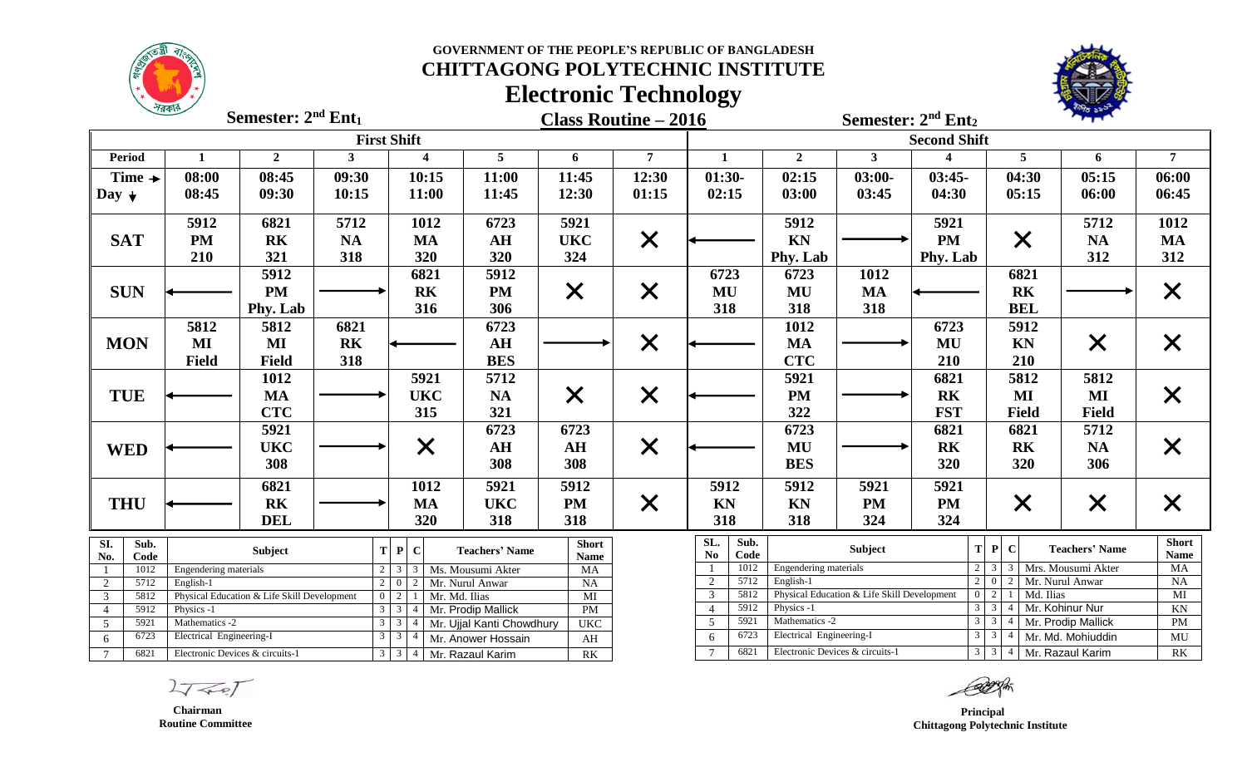## **GOVERNMENT OF THE PEOPLE'S REPUBLIC OF BANGLADESH**

# **CHITTAGONG POLYTECHNIC INSTITUTE Electronic Technology**



**Semester:**  $2^{nd}$ **Ent**<sub>1</sub>

**Class Routine – 2016 nd Semester: 2 Ent<sup>2</sup>**

**Semester: 2**

|                           |                                                               |                |                | <b>First Shift</b>                   |                           |                          |                   | <b>Second Shift</b>                                                                                               |                       |                                                                          |            |                                   |                           |                             |  |
|---------------------------|---------------------------------------------------------------|----------------|----------------|--------------------------------------|---------------------------|--------------------------|-------------------|-------------------------------------------------------------------------------------------------------------------|-----------------------|--------------------------------------------------------------------------|------------|-----------------------------------|---------------------------|-----------------------------|--|
| <b>Period</b>             |                                                               | $\overline{2}$ | 3              | $\overline{\mathbf{4}}$              | $\overline{5}$            | 6                        | $\overline{7}$    | $\mathbf{1}$                                                                                                      | $\overline{2}$        | $\mathbf{3}$                                                             |            | 5                                 | 6                         | $\overline{7}$              |  |
| Time $\rightarrow$        | 08:00                                                         | 08:45          | 09:30          | 10:15                                | 11:00                     | 11:45                    | 12:30             | $01:30-$                                                                                                          | 02:15                 | $03:00-$                                                                 | $03:45-$   | 04:30                             | 05:15                     | 06:00                       |  |
| Day $\downarrow$          | 08:45                                                         | 09:30          | 10:15          | 11:00                                | 11:45                     | 12:30                    | 01:15             | 02:15                                                                                                             | 03:00                 | 03:45                                                                    | 04:30      | 05:15                             | 06:00                     | 06:45                       |  |
|                           |                                                               |                |                |                                      |                           |                          |                   |                                                                                                                   |                       |                                                                          |            |                                   |                           |                             |  |
|                           | 5912                                                          | 6821           | 5712           | 1012                                 | 6723                      | 5921                     |                   |                                                                                                                   | 5912                  |                                                                          | 5921       |                                   | 5712                      | 1012                        |  |
| <b>SAT</b>                | <b>PM</b>                                                     | <b>RK</b>      | <b>NA</b>      | <b>MA</b>                            | AH                        | <b>UKC</b>               | $\times$          |                                                                                                                   | KN                    |                                                                          | <b>PM</b>  | $\times$                          | <b>NA</b>                 | <b>MA</b>                   |  |
|                           | 210                                                           | 321            | 318            | 320                                  | 320                       | 324                      |                   |                                                                                                                   | Phy. Lab              |                                                                          | Phy. Lab   |                                   | 312                       | 312                         |  |
|                           |                                                               | 5912           |                | 6821                                 | 5912                      |                          |                   | 6723                                                                                                              | 6723                  | 1012                                                                     |            | 6821                              |                           |                             |  |
| <b>SUN</b>                |                                                               | <b>PM</b>      |                | <b>RK</b>                            | <b>PM</b>                 | $\times$                 | $\times$          | MU                                                                                                                | MU                    | <b>MA</b>                                                                |            | <b>RK</b>                         |                           |                             |  |
|                           |                                                               | Phy. Lab       |                | 316                                  | 306                       |                          |                   | 318                                                                                                               | 318                   | 318                                                                      |            | <b>BEL</b>                        |                           |                             |  |
|                           | 5812                                                          | 5812           | 6821           |                                      | 6723                      |                          |                   |                                                                                                                   | 1012                  |                                                                          | 6723       | 5912                              |                           |                             |  |
| <b>MON</b>                | MI                                                            | MI             | R <sub>K</sub> |                                      | AH                        |                          | $\times$          |                                                                                                                   | <b>MA</b>             |                                                                          | MU         | KN                                | $\boldsymbol{\mathsf{X}}$ | $\bm{\mathsf{X}}$           |  |
|                           | <b>Field</b>                                                  | <b>Field</b>   | 318            |                                      | <b>BES</b>                |                          |                   |                                                                                                                   | <b>CTC</b>            |                                                                          | 210        | 210                               |                           |                             |  |
|                           |                                                               | 1012           |                | 5921                                 | 5712                      |                          |                   |                                                                                                                   | 5921                  |                                                                          | 6821       | 5812                              | 5812                      |                             |  |
| <b>TUE</b>                |                                                               | <b>MA</b>      |                | <b>UKC</b>                           | <b>NA</b>                 | $\bm{\mathsf{X}}$        | $\bm{\mathsf{X}}$ |                                                                                                                   | <b>PM</b>             |                                                                          | <b>RK</b>  | MI                                | MI                        | $\bm{\mathsf{X}}$           |  |
|                           |                                                               | <b>CTC</b>     |                | 315                                  | 321                       |                          |                   |                                                                                                                   | 322                   |                                                                          | <b>FST</b> | <b>Field</b>                      | <b>Field</b>              |                             |  |
|                           |                                                               | 5921           |                |                                      | 6723                      | 6723                     |                   |                                                                                                                   | 6723                  |                                                                          | 6821       | 6821                              | 5712                      |                             |  |
| <b>WED</b>                |                                                               | <b>UKC</b>     |                | $\times$                             | AH                        | AH                       | $\times$          |                                                                                                                   | MU                    |                                                                          | <b>RK</b>  | <b>RK</b>                         | <b>NA</b>                 | $\bm{\mathsf{X}}$           |  |
|                           |                                                               | 308            |                |                                      | 308                       | 308                      |                   |                                                                                                                   | <b>BES</b>            |                                                                          | 320        | 320                               | 306                       |                             |  |
|                           |                                                               | 6821           |                | 1012                                 | 5921                      | 5912                     |                   | 5912                                                                                                              | 5912                  | 5921                                                                     | 5921       |                                   |                           |                             |  |
|                           |                                                               | <b>RK</b>      |                | <b>MA</b>                            | <b>UKC</b>                | <b>PM</b>                |                   | <b>KN</b>                                                                                                         | KN                    | <b>PM</b>                                                                | <b>PM</b>  |                                   |                           |                             |  |
| <b>THU</b>                |                                                               | <b>DEL</b>     |                |                                      | 318                       | 318                      | $\times$          | 318                                                                                                               | 318                   |                                                                          | 324        | $\times$                          | $\times$                  |                             |  |
|                           |                                                               |                |                | 320                                  |                           |                          |                   |                                                                                                                   |                       | 324                                                                      |            |                                   |                           |                             |  |
| $\overline{SI}$ .<br>Sub. |                                                               | Subject        | T              | $\mathbf{P}$<br>$\mathbf C$          | <b>Teachers' Name</b>     | <b>Short</b>             |                   | SL.<br>Sub.<br>Code<br>No                                                                                         |                       | <b>Subject</b>                                                           |            | T P <br>$\mathbf C$               | <b>Teachers' Name</b>     | <b>Short</b><br><b>Name</b> |  |
| No.<br>Code<br>1012       | Engendering materials                                         |                |                | $2 \mid 3 \mid 3$                    | Ms. Mousumi Akter         | <b>Name</b><br><b>MA</b> |                   | 1012                                                                                                              | Engendering materials |                                                                          |            | $2 \mid 3 \mid$<br>3 <sup>1</sup> | Mrs. Mousumi Akter        | MA                          |  |
| 5712<br>$\overline{2}$    | English-1                                                     |                |                | $2 \mid 0$<br>2                      | Mr. Nurul Anwar           | <b>NA</b>                |                   | 5712<br>2                                                                                                         | English-1             |                                                                          |            | $2 \ 0$<br>2                      | Mr. Nurul Anwar           | NA                          |  |
| $\mathbf{3}$<br>5812      | $\overline{0}$<br>Physical Education & Life Skill Development |                |                | 2<br>Mr. Md. Ilias                   |                           | MI                       |                   | 5812<br>3                                                                                                         |                       | Physical Education & Life Skill Development                              |            | $0 \mid 2$<br>Md. Ilias           |                           | $\overline{MI}$             |  |
| $\overline{4}$            | 5912<br>Physics -1                                            |                |                | $3 \mid 3$<br>$\overline{4}$         | Mr. Prodip Mallick        | PM                       |                   | 5912<br>$\Delta$                                                                                                  | Physics -1            |                                                                          |            | $3 \mid 3$                        | Mr. Kohinur Nur           | KN                          |  |
|                           | $5\overline{)}$<br>5921<br>Mathematics -2                     |                |                | $3 \mid 3 \mid 4$<br>$3 \mid 3 \mid$ | Mr. Ujjal Kanti Chowdhury | <b>UKC</b>               |                   | 5921<br>Mathematics -2<br>$3 \mid 3$<br>5<br>Mr. Prodip Mallick<br>6723<br>Electrical Engineering-I<br>$3 \mid 3$ |                       |                                                                          |            | PM                                |                           |                             |  |
| 6723<br>6                 | Electrical Engineering-I                                      |                |                | -4                                   | Mr. Anower Hossain        | AH                       |                   | 6<br>6821                                                                                                         |                       |                                                                          |            |                                   | Mr. Md. Mohiuddin         | MU<br>RK                    |  |
| $7\phantom{.0}$<br>6821   | Electronic Devices & circuits-1                               |                |                | 3 3 4 Mr. Razaul Karim               |                           | RK                       |                   | $\overline{7}$                                                                                                    |                       | Electronic Devices & circuits-1<br>$3 \mid 3 \mid 4$<br>Mr. Razaul Karim |            |                                   |                           |                             |  |

 $2757$ 

 **Chairman Routine Committee**

 **Principal Chittagong Polytechnic Institute**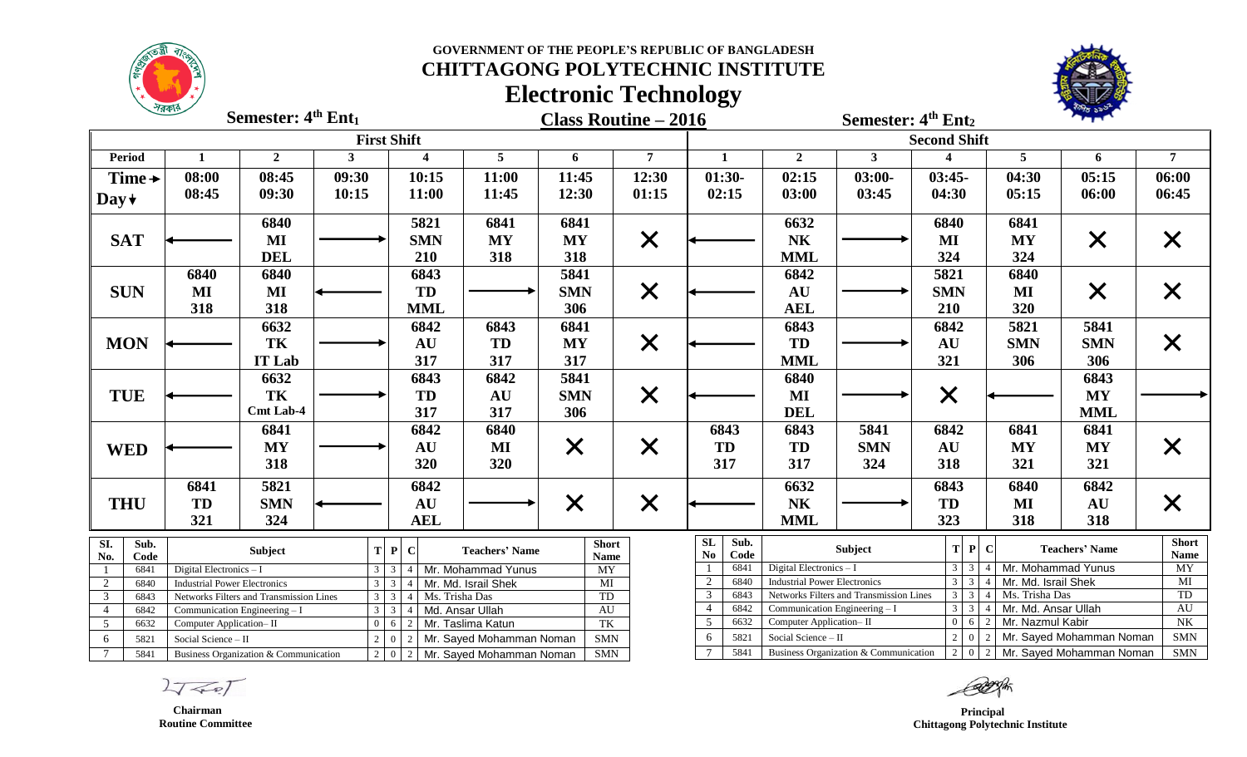**GOVERNMENT OF THE PEOPLE'S REPUBLIC OF BANGLADESH**



## **CHITTAGONG POLYTECHNIC INSTITUTE Electronic Technology**



**Semester:**  $4^{\text{th}}$  **Ent**<sub>1</sub>

**Class Routine – 2016 th Semester: 4 Ent<sup>2</sup>**

**Semester: 4**

|                          |                                                                 |                         |                                         |                | <b>First Shift</b>                          |                                        |                             |                |                                            |                         |                                       | <b>Second Shift</b>    |                     |                                                    |                             |
|--------------------------|-----------------------------------------------------------------|-------------------------|-----------------------------------------|----------------|---------------------------------------------|----------------------------------------|-----------------------------|----------------|--------------------------------------------|-------------------------|---------------------------------------|------------------------|---------------------|----------------------------------------------------|-----------------------------|
| <b>Period</b>            |                                                                 |                         | $\overline{2}$                          | 3              | Δ                                           | $5\overline{)}$                        | 6                           | $\overline{7}$ | $\mathbf{1}$                               | $\mathbf{2}$            | $3^{\circ}$                           |                        | 5                   | 6                                                  | 7                           |
| Time $\rightarrow$       |                                                                 | 08:00                   | 08:45                                   | 09:30          | 10:15                                       | 11:00                                  | 11:45                       | 12:30          | $01:30-$                                   | 02:15                   | $03:00-$                              | $03:45-$               | 04:30               | 05:15                                              | 06:00                       |
| Day $\star$              |                                                                 | 08:45                   | 09:30                                   | 10:15          | 11:00                                       | 11:45                                  | 12:30                       | 01:15          | 02:15                                      | 03:00                   | 03:45                                 | 04:30                  | 05:15               | 06:00                                              | 06:45                       |
|                          |                                                                 |                         | 6840                                    |                | 5821                                        | 6841                                   | 6841                        |                |                                            | 6632                    |                                       | 6840                   | 6841                |                                                    |                             |
| <b>SAT</b>               |                                                                 |                         | MI                                      |                | <b>SMN</b>                                  | <b>MY</b>                              | <b>MY</b>                   | $\bm{\times}$  |                                            | N <sub>K</sub>          |                                       | MI                     | <b>MY</b>           | $\times$                                           | X                           |
|                          |                                                                 |                         | <b>DEL</b>                              |                | 210                                         | 318                                    | 318                         |                |                                            | <b>MML</b>              |                                       | 324                    | 324                 |                                                    |                             |
|                          |                                                                 | 6840                    | 6840                                    |                | 6843                                        |                                        | 5841                        |                |                                            | 6842                    |                                       | 5821                   | 6840                |                                                    |                             |
| <b>SUN</b>               |                                                                 | $\bf{MI}$               | $\bf MI$                                |                | <b>TD</b>                                   |                                        | <b>SMN</b>                  | $\times$       |                                            | AU                      |                                       | <b>SMN</b>             | MI                  | $\times$                                           |                             |
|                          |                                                                 | 318                     | 318                                     |                | <b>MML</b>                                  |                                        | 306                         |                |                                            | <b>AEL</b>              |                                       | 210                    | 320                 |                                                    |                             |
|                          |                                                                 |                         | 6632                                    |                | 6842                                        | 6843                                   | 6841                        |                |                                            | 6843                    |                                       | 6842                   | 5821                | 5841                                               |                             |
| <b>MON</b>               |                                                                 |                         | TK                                      |                | <b>AU</b>                                   | <b>TD</b>                              | <b>MY</b>                   | $\times$       |                                            | TD                      |                                       | AU                     | <b>SMN</b>          | <b>SMN</b>                                         | X                           |
|                          |                                                                 |                         | <b>IT Lab</b>                           |                | 317                                         | 317                                    | 317                         |                |                                            | <b>MML</b>              |                                       | 321                    | 306                 | 306                                                |                             |
|                          |                                                                 |                         | 6632                                    |                | 6843                                        | 6842                                   | 5841                        |                |                                            | 6840                    |                                       |                        |                     | 6843                                               |                             |
| <b>TUE</b>               |                                                                 |                         | TK                                      |                | <b>TD</b>                                   | AU                                     | <b>SMN</b>                  | $\times$       |                                            | $\bf{MI}$               |                                       | $\times$               |                     | MY                                                 |                             |
|                          |                                                                 |                         | <b>Cmt Lab-4</b>                        |                | 317                                         | 317                                    | 306                         |                |                                            | <b>DEL</b>              |                                       |                        |                     | <b>MML</b>                                         |                             |
|                          |                                                                 |                         | 6841                                    |                | 6842                                        | 6840                                   |                             |                | 6843                                       | 6843                    | 5841                                  | 6842                   | 6841                | 6841                                               |                             |
| <b>WED</b>               |                                                                 |                         | <b>MY</b>                               |                | AU                                          | MI                                     | X                           | $\times$       | <b>TD</b>                                  | <b>TD</b>               | <b>SMN</b>                            | AU                     | <b>MY</b>           | <b>MY</b>                                          | $\bm{\mathsf{X}}$           |
|                          |                                                                 |                         | 318                                     |                | 320                                         | 320                                    |                             |                | 317                                        | 317                     | 324                                   | 318                    | 321                 | 321                                                |                             |
|                          |                                                                 | 6841                    | 5821                                    |                | 6842                                        |                                        |                             |                |                                            | 6632                    |                                       | 6843                   | 6840                | 6842                                               |                             |
| <b>THU</b>               |                                                                 | TD                      | <b>SMN</b>                              |                | AU                                          |                                        |                             |                |                                            | <b>NK</b>               |                                       | <b>TD</b>              | MI                  | <b>AU</b>                                          |                             |
|                          |                                                                 | 321                     | 324                                     |                | <b>AEL</b>                                  |                                        | $\bm{\mathsf{X}}$           | $\times$       |                                            | <b>MML</b>              |                                       | 323                    | 318                 | 318                                                | $\bm{\mathsf{X}}$           |
|                          |                                                                 |                         |                                         |                |                                             |                                        |                             |                |                                            |                         |                                       |                        |                     |                                                    |                             |
| $\overline{SI}$ .<br>No. | Sub.<br>Code                                                    |                         | Subject                                 | T              | P C                                         | <b>Teachers' Name</b>                  | <b>Short</b><br><b>Name</b> |                | <b>SL</b><br>Sub.<br>$\mathbf{No}$<br>Code |                         | Subject                               | T P                    | <sup>-</sup> C      | <b>Teachers' Name</b>                              | <b>Short</b><br><b>Name</b> |
|                          | 6841                                                            | Digital Electronics - I |                                         |                | $3 \mid 3 \mid 4$                           | Mr. Mohammad Yunus                     | <b>MY</b>                   |                | 6841                                       | Digital Electronics - I |                                       | $3 \mid 3$             | Mr. Mohammad Yunus  |                                                    | $\overline{MY}$             |
| $\overline{2}$           | 6840<br><b>Industrial Power Electronics</b>                     |                         | $\overline{3}$                          | $\overline{3}$ | Mr. Md. Israil Shek                         | $\overline{MI}$                        |                             | 2<br>6840      | <b>Industrial Power Electronics</b>        |                         | $3 \mid 3$                            | Mr. Md. Israil Shek    |                     | $\overline{MI}$                                    |                             |
| $\overline{3}$           | 6843<br>Networks Filters and Transmission Lines<br>$\mathbf{3}$ |                         | Ms. Trisha Das<br>3 <sup>1</sup><br>4 I |                | TD<br>AU                                    |                                        | 3<br>6843                   |                | Networks Filters and Transmission Lines    | $3 \mid 3$              | Ms. Trisha Das                        |                        | TD                  |                                                    |                             |
| $\overline{4}$           | $\overline{3}$<br>6842<br>Communication Engineering - I         |                         |                                         |                | $\overline{3}$<br>Md. Ansar Ullah           |                                        |                             |                | 6842<br>$\overline{4}$                     |                         | Communication Engineering - I         | $3 \mid 3$             | Mr. Md. Ansar Ullah |                                                    | <b>AU</b><br>N <sub>K</sub> |
| $\overline{5}$           | 6632                                                            | Computer Application-II |                                         |                | $\boxed{0}$ 6 $\boxed{2}$ Mr. Taslima Katun |                                        | TK                          |                | 5<br>6632                                  | Computer Application-II |                                       | $0 \quad 6$<br>$2 \ 0$ | Mr. Nazmul Kabir    |                                                    |                             |
| 6                        | 5821                                                            | Social Science - II     |                                         | 2 <sup>1</sup> | $\overline{0}$                              | 2   Mr. Sayed Mohamman Noman           | SMN                         |                | 5821<br>6<br>$7\phantom{.0}$               | Social Science - II     |                                       |                        |                     | Mr. Sayed Mohamman Noman                           | <b>SMN</b>                  |
| $\tau$                   | 5841                                                            |                         | Business Organization & Communication   |                |                                             | $2   0   2  $ Mr. Sayed Mohamman Noman | <b>SMN</b>                  |                | 5841                                       |                         | Business Organization & Communication |                        |                     | $\boxed{2}$ 0 $\boxed{2}$ Mr. Sayed Mohamman Noman | SMN                         |

 $2757$ 

 **Chairman Routine Committee**

 **Principal Chittagong Polytechnic Institute**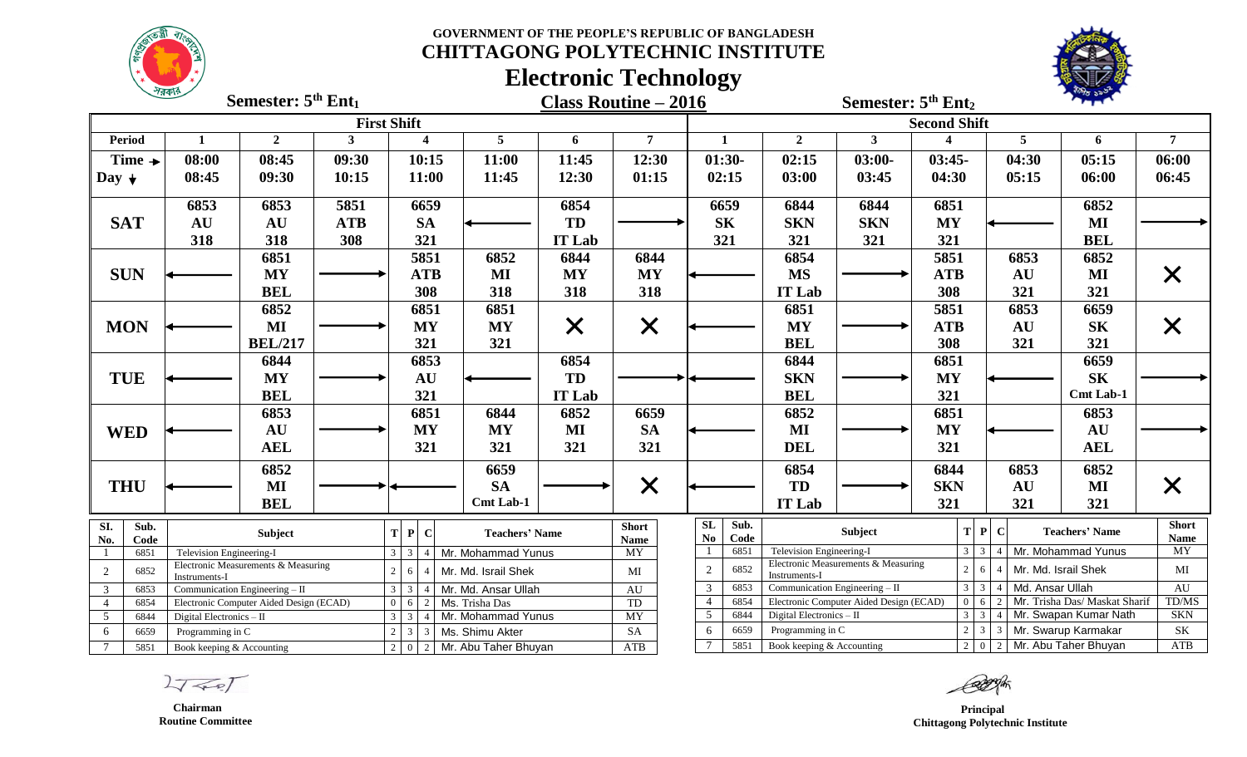**GOVERNMENT OF THE PEOPLE'S REPUBLIC OF BANGLADESH CHITTAGONG POLYTECHNIC INSTITUTE**



# **Electronic Technology**



|                        | $\sim$<br>Semester: $5th Ent1$                       |                |                    |             |                                                          | <b>Class Routine - 2016</b> |                                           |                          |                   | Semester: 5 <sup>th</sup> Ent <sub>2</sub> |                                                |                                                                   |                                                      |                               |                     |                   |            |                     |                       |                          |
|------------------------|------------------------------------------------------|----------------|--------------------|-------------|----------------------------------------------------------|-----------------------------|-------------------------------------------|--------------------------|-------------------|--------------------------------------------|------------------------------------------------|-------------------------------------------------------------------|------------------------------------------------------|-------------------------------|---------------------|-------------------|------------|---------------------|-----------------------|--------------------------|
|                        |                                                      |                | <b>First Shift</b> |             |                                                          |                             |                                           |                          |                   |                                            |                                                |                                                                   |                                                      |                               | <b>Second Shift</b> |                   |            |                     |                       |                          |
| <b>Period</b>          | 1                                                    | $\overline{2}$ | 3 <sup>1</sup>     |             |                                                          | $\overline{\mathbf{4}}$     |                                           | 5                        | 6                 | $7\phantom{.0}$                            | $\mathbf{1}$                                   |                                                                   | $\overline{2}$                                       | 3 <sup>1</sup>                |                     |                   |            | $5\phantom{.0}$     | 6                     | $\overline{7}$           |
| Time $\rightarrow$     | 08:00                                                | 08:45          | 09:30              |             |                                                          | 10:15                       |                                           | 11:00                    | 11:45             | 12:30                                      | $01:30-$                                       |                                                                   | 02:15                                                | $03:00-$                      | $03:45-$            |                   |            | 04:30               | 05:15                 | 06:00                    |
| Day $\downarrow$       | 08:45                                                | 09:30          | 10:15              |             |                                                          | 11:00                       |                                           | 11:45                    | 12:30             | 01:15                                      | 02:15                                          |                                                                   | 03:00                                                | 03:45                         | 04:30               |                   |            | 05:15               | 06:00                 | 06:45                    |
|                        | 6853                                                 | 6853           | 5851               |             |                                                          | 6659                        |                                           |                          | 6854              |                                            | 6659                                           |                                                                   | 6844                                                 | 6844                          | 6851                |                   |            |                     | 6852                  |                          |
| <b>SAT</b>             | <b>AU</b>                                            | AU             | <b>ATB</b>         |             |                                                          | <b>SA</b>                   |                                           |                          | TD                |                                            | <b>SK</b>                                      |                                                                   | <b>SKN</b>                                           | <b>SKN</b>                    | <b>MY</b>           |                   |            |                     | MI                    |                          |
|                        | 318                                                  | 318            | 308                |             |                                                          | 321                         |                                           |                          | <b>IT Lab</b>     |                                            | 321                                            |                                                                   | 321                                                  | 321                           | 321                 |                   |            |                     | <b>BEL</b>            |                          |
|                        |                                                      | 6851           |                    | 5851        |                                                          |                             | 6852                                      | 6844                     | 6844              |                                            |                                                | 6854                                                              |                                                      | 5851                          |                     |                   | 6853       | 6852                |                       |                          |
| <b>SUN</b>             |                                                      | <b>MY</b>      |                    | <b>ATB</b>  |                                                          | MI                          | <b>MY</b>                                 | MY                       |                   |                                            | <b>MS</b>                                      |                                                                   | <b>ATB</b>                                           |                               |                     | AU                | $\bf{MI}$  | X                   |                       |                          |
|                        | <b>BEL</b>                                           |                |                    |             |                                                          | 308                         |                                           | 318                      | 318               | 318                                        |                                                |                                                                   | <b>IT Lab</b>                                        |                               | 308                 |                   |            | 321                 | 321                   |                          |
|                        | 6852                                                 |                |                    |             |                                                          | 6851                        |                                           | 6851                     |                   |                                            |                                                |                                                                   | 6851                                                 |                               | 5851                |                   |            | 6853                | 6659                  |                          |
| <b>MON</b>             | MI                                                   |                |                    |             |                                                          | <b>MY</b>                   |                                           | <b>MY</b>                | $\bm{\mathsf{X}}$ | $\times$                                   |                                                |                                                                   | MY                                                   |                               | <b>ATB</b>          |                   |            | AU                  | ${\bf S}{\bf K}$      | X                        |
|                        |                                                      | <b>BEL/217</b> |                    |             |                                                          | 321                         |                                           | 321                      |                   |                                            |                                                |                                                                   | <b>BEL</b>                                           |                               | 308                 |                   |            | 321                 | 321                   |                          |
|                        |                                                      | 6844           |                    |             |                                                          | 6853                        |                                           |                          | 6854              |                                            |                                                |                                                                   | 6844                                                 |                               | 6851                |                   |            |                     | 6659                  |                          |
| <b>TUE</b>             |                                                      | <b>MY</b>      |                    |             |                                                          | AU                          |                                           |                          | TD                |                                            |                                                |                                                                   | <b>SKN</b>                                           |                               | <b>MY</b>           |                   |            |                     | <b>SK</b>             |                          |
|                        |                                                      | <b>BEL</b>     |                    |             |                                                          | 321                         |                                           |                          |                   |                                            |                                                | <b>BEL</b>                                                        |                                                      | 321                           |                     |                   |            | Cmt Lab-1           |                       |                          |
|                        |                                                      | 6853           |                    |             | 6851                                                     |                             |                                           | 6844                     | 6852              | 6659                                       |                                                |                                                                   | 6852                                                 |                               | 6851                |                   |            |                     | 6853                  |                          |
| <b>WED</b>             |                                                      | <b>AU</b>      |                    |             |                                                          | <b>MY</b>                   |                                           | <b>MY</b>                | MI                | <b>SA</b>                                  |                                                |                                                                   | $\bf MI$                                             |                               | <b>MY</b>           |                   |            |                     | AU                    |                          |
|                        |                                                      | <b>AEL</b>     |                    | 321         |                                                          | 321                         | 321                                       | 321                      |                   |                                            | <b>DEL</b>                                     |                                                                   | 321                                                  |                               |                     |                   | <b>AEL</b> |                     |                       |                          |
|                        |                                                      | 6852           |                    |             |                                                          |                             |                                           | 6659                     |                   |                                            |                                                |                                                                   | 6854                                                 |                               | 6844                |                   |            | 6853                | 6852                  |                          |
| <b>THU</b>             |                                                      | MI             |                    |             |                                                          |                             |                                           | <b>SA</b>                |                   | $\times$                                   |                                                |                                                                   | TD                                                   |                               | <b>SKN</b>          |                   |            | <b>AU</b>           | MI                    | X                        |
|                        |                                                      | <b>BEL</b>     |                    |             |                                                          |                             |                                           | Cmt Lab-1                |                   |                                            |                                                |                                                                   | <b>IT Lab</b>                                        |                               | 321                 |                   |            | 321                 | 321                   |                          |
| SI.<br>Sub.            | <b>Subject</b>                                       |                |                    |             | $T$ $P$ $C$                                              |                             |                                           | <b>Teachers' Name</b>    |                   | <b>Short</b>                               | <b>SL</b><br>$\mathbf{N}\mathbf{o}$            | Sub.<br>Code                                                      |                                                      | Subject                       |                     | $T$ $P$           | - C        |                     | <b>Teachers' Name</b> | <b>Short</b>             |
| No.<br>Code<br>6851    | Television Engineering-I                             |                |                    |             | $3 \mid 3$                                               | $\overline{4}$              |                                           |                          |                   | <b>Name</b><br><b>MY</b>                   | -1                                             | 6851                                                              | Television Engineering-I                             |                               |                     | $3 \mid 3$        |            |                     | Mr. Mohammad Yunus    | <b>Name</b><br><b>MY</b> |
| 2<br>6852              | Electronic Measurements & Measuring<br>Instruments-I |                |                    | $2^{\circ}$ | 6                                                        |                             | Mr. Mohammad Yunus<br>Mr. Md. Israil Shek |                          |                   | MI                                         | $\overline{2}$<br>6852                         |                                                                   | Electronic Measurements & Measuring<br>Instruments-I |                               |                     | $\overline{2}$    | 6          | Mr. Md. Israil Shek |                       | MI                       |
| 3<br>6853              | Communication Engineering $-$ II                     |                |                    |             | $3 \mid 3$                                               |                             | Mr. Md. Ansar Ullah                       |                          |                   | AU                                         | 3                                              | 6853                                                              | Communication Engineering - II                       |                               | $3 \overline{3}$    | 4 Md. Ansar Ullah |            | AU                  |                       |                          |
| $\overline{4}$<br>6854 | Electronic Computer Aided Design (ECAD)              |                |                    | $\Omega$    | 6                                                        | Ms. Trisha Das<br>2         |                                           |                          | TD                | $\overline{4}$                             | 6854                                           | Electronic Computer Aided Design (ECAD)<br>6<br>2                 |                                                      | Mr. Trisha Das/ Maskat Sharif |                     | TD/MS             |            |                     |                       |                          |
| 5<br>6844              | Digital Electronics - II                             |                |                    |             | $3 \mid 3$<br>Mr. Mohammad Yunus<br>$\overline{4}$       |                             |                                           | $\ensuremath{\text{MY}}$ | 5                 | 6844                                       | $3 \mid 3$<br>Digital Electronics - II         |                                                                   |                                                      | 4 Mr. Swapan Kumar Nath       |                     | <b>SKN</b>        |            |                     |                       |                          |
| 6                      | 6659<br>Programming in C                             |                |                    |             | Ms. Shimu Akter<br>$\mathfrak{Z}$<br>$\overline{3}$<br>2 |                             |                                           | <b>SA</b>                | 6                 | 6659                                       | $2 \mid 3$<br>Programming in C<br>$\mathbf{3}$ |                                                                   |                                                      |                               | Mr. Swarup Karmakar | SK                |            |                     |                       |                          |
| 7                      | 5851<br>Book keeping & Accounting                    |                |                    |             | $2   0   2  $ Mr. Abu Taher Bhuyan                       |                             |                                           |                          | ATB               |                                            | 5851                                           | $2 \mid 0$<br>2 Mr. Abu Taher Bhuyan<br>Book keeping & Accounting |                                                      |                               |                     |                   | ATB        |                     |                       |                          |

 $2750$ 

 **Chairman Routine Committee**

*Principal*  **Chittagong Polytechnic Institute**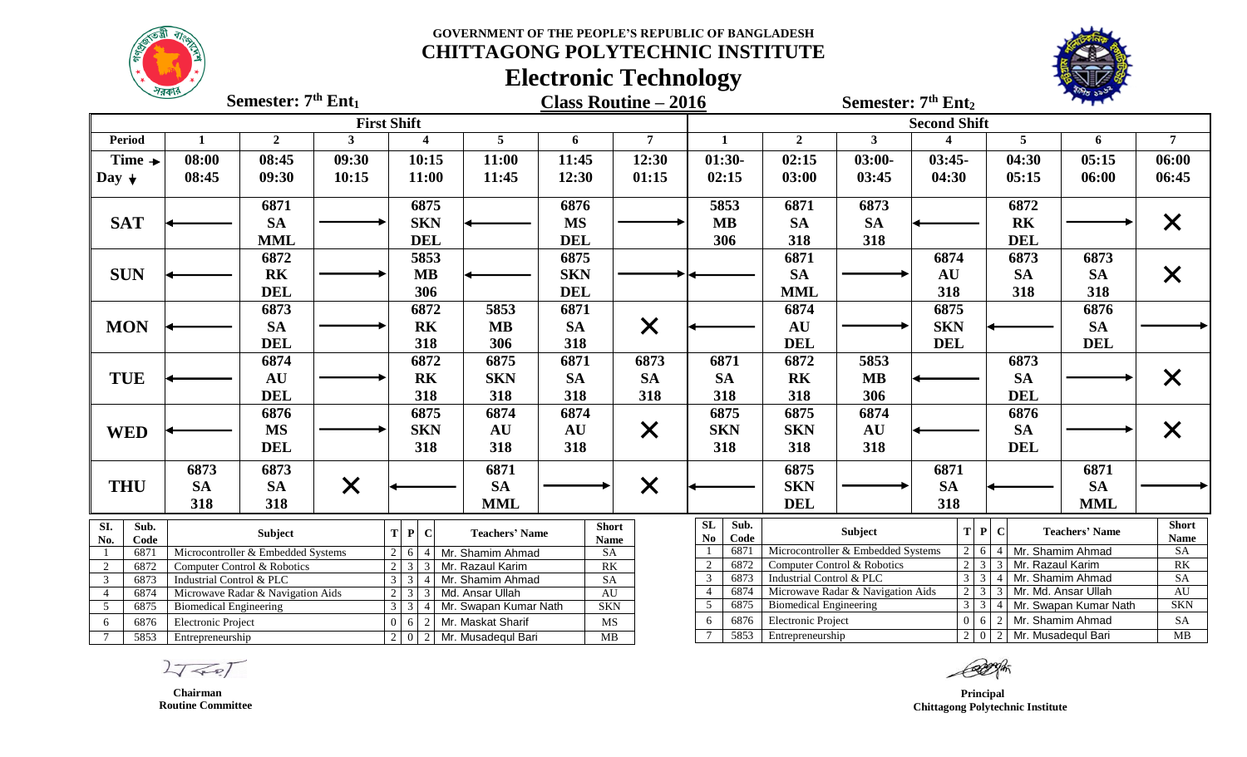**GOVERNMENT OF THE PEOPLE'S REPUBLIC OF BANGLADESH CHITTAGONG POLYTECHNIC INSTITUTE**



# **Electronic Technology**



|                                                         | $\sim$<br>Semester: 7 <sup>th</sup> Ent <sub>1</sub>                      |                |                                               |                                                                          |                                                      | <b>Class Routine - 2016</b> |            |                   |                                                                           |                                                                               | Semester: 7 <sup>th</sup> Ent <sub>2</sub> |                                   |                                    |                      |                                  |                       |                   |
|---------------------------------------------------------|---------------------------------------------------------------------------|----------------|-----------------------------------------------|--------------------------------------------------------------------------|------------------------------------------------------|-----------------------------|------------|-------------------|---------------------------------------------------------------------------|-------------------------------------------------------------------------------|--------------------------------------------|-----------------------------------|------------------------------------|----------------------|----------------------------------|-----------------------|-------------------|
|                                                         |                                                                           |                | <b>First Shift</b>                            |                                                                          |                                                      |                             |            |                   |                                                                           |                                                                               |                                            |                                   |                                    | <b>Second Shift</b>  |                                  |                       |                   |
| <b>Period</b>                                           | 1                                                                         | $\overline{2}$ | 3                                             |                                                                          | $\overline{\mathbf{4}}$                              | 5                           | 6          |                   | $\overline{7}$                                                            |                                                                               | 1                                          | $\overline{2}$                    | $\mathbf{3}$                       | $\boldsymbol{4}$     | 5 <sup>5</sup>                   | 6                     | $\overline{7}$    |
| Time $\rightarrow$                                      | 08:00                                                                     | 08:45          | 09:30                                         |                                                                          | 10:15                                                | 11:00                       | 11:45      |                   | 12:30                                                                     |                                                                               | $01:30-$                                   | 02:15                             | $03:00-$                           | $03:45-$             | 04:30                            | 05:15                 | 06:00             |
| Day $\downarrow$                                        | 08:45                                                                     | 09:30          | 10:15                                         |                                                                          | 11:00                                                | 11:45                       | 12:30      |                   | 01:15                                                                     |                                                                               | 02:15                                      | 03:00                             | 03:45                              | 04:30                | 05:15                            | 06:00                 | 06:45             |
|                                                         |                                                                           | 6871           |                                               |                                                                          | 6875                                                 |                             | 6876       |                   |                                                                           |                                                                               | 5853                                       | 6871                              | 6873                               |                      | 6872                             |                       |                   |
| <b>SAT</b>                                              |                                                                           | <b>SA</b>      |                                               |                                                                          | <b>SKN</b>                                           |                             | <b>MS</b>  |                   |                                                                           |                                                                               | <b>MB</b>                                  | <b>SA</b>                         | <b>SA</b>                          |                      | <b>RK</b>                        |                       | X                 |
|                                                         |                                                                           | <b>MML</b>     |                                               | <b>DEL</b>                                                               |                                                      |                             | <b>DEL</b> |                   |                                                                           |                                                                               | 306                                        | 318                               | 318                                |                      | <b>DEL</b>                       |                       |                   |
|                                                         |                                                                           | 6872           |                                               |                                                                          | 5853                                                 |                             | 6875       |                   |                                                                           |                                                                               |                                            | 6871                              |                                    | 6874                 | 6873                             | 6873                  |                   |
| <b>SUN</b>                                              |                                                                           | <b>RK</b>      |                                               |                                                                          | <b>MB</b>                                            |                             | <b>SKN</b> |                   |                                                                           |                                                                               |                                            | <b>SA</b>                         |                                    | AU                   | <b>SA</b>                        | <b>SA</b>             | X                 |
|                                                         |                                                                           | <b>DEL</b>     |                                               |                                                                          | 306                                                  |                             | <b>DEL</b> |                   |                                                                           |                                                                               |                                            | <b>MML</b>                        |                                    | 318                  | 318                              | 318                   |                   |
|                                                         |                                                                           | 6873           |                                               |                                                                          | 6872                                                 | 5853                        | 6871       |                   |                                                                           |                                                                               |                                            | 6874                              |                                    | 6875                 |                                  | 6876                  |                   |
| <b>MON</b>                                              |                                                                           | <b>SA</b>      |                                               |                                                                          | <b>RK</b>                                            | <b>MB</b>                   | <b>SA</b>  |                   | $\times$                                                                  |                                                                               |                                            | AU                                |                                    | <b>SKN</b>           |                                  | <b>SA</b>             |                   |
|                                                         |                                                                           | <b>DEL</b>     |                                               |                                                                          | 318                                                  | 306                         | 318        |                   |                                                                           |                                                                               |                                            | <b>DEL</b>                        |                                    | <b>DEL</b>           |                                  | <b>DEL</b>            |                   |
|                                                         |                                                                           | 6874           |                                               |                                                                          | 6872                                                 | 6875                        | 6871       |                   | 6873                                                                      |                                                                               | 6871                                       | 6872                              | 5853                               |                      | 6873                             |                       |                   |
| <b>TUE</b>                                              |                                                                           | AU             |                                               |                                                                          | <b>RK</b>                                            | <b>SKN</b>                  | <b>SA</b>  |                   | <b>SA</b>                                                                 |                                                                               | <b>SA</b>                                  | R <sub>K</sub>                    | $\bf{MB}$                          |                      | <b>SA</b>                        |                       |                   |
|                                                         |                                                                           | <b>DEL</b>     |                                               |                                                                          | 318                                                  | 318                         | 318        |                   | 318                                                                       |                                                                               | 318                                        | 318                               | 306                                |                      | <b>DEL</b>                       |                       |                   |
|                                                         |                                                                           | 6876           |                                               |                                                                          | 6875                                                 | 6874                        | 6874       |                   |                                                                           |                                                                               | 6875                                       | 6875                              | 6874                               |                      | 6876                             |                       |                   |
| <b>WED</b>                                              |                                                                           | <b>MS</b>      |                                               |                                                                          | <b>SKN</b>                                           | <b>AU</b>                   | AU         |                   | $\times$                                                                  |                                                                               | <b>SKN</b>                                 | <b>SKN</b>                        | AU                                 |                      | <b>SA</b>                        |                       |                   |
|                                                         |                                                                           | <b>DEL</b>     |                                               |                                                                          | 318                                                  | 318                         | 318        |                   |                                                                           |                                                                               | 318                                        | 318                               | 318                                |                      | <b>DEL</b>                       |                       | X                 |
|                                                         |                                                                           |                |                                               |                                                                          |                                                      |                             |            |                   |                                                                           |                                                                               |                                            |                                   |                                    |                      |                                  |                       |                   |
|                                                         | 6873                                                                      | 6873           |                                               |                                                                          |                                                      | 6871                        |            |                   |                                                                           |                                                                               |                                            | 6875                              |                                    | 6871                 |                                  | 6871                  |                   |
| <b>THU</b>                                              | <b>SA</b>                                                                 | <b>SA</b>      | $\bm{\times}$                                 |                                                                          |                                                      | <b>SA</b>                   |            |                   | $\times$                                                                  |                                                                               |                                            | <b>SKN</b>                        |                                    | <b>SA</b>            |                                  | <b>SA</b>             |                   |
|                                                         | 318                                                                       | 318            |                                               |                                                                          |                                                      | <b>MML</b>                  |            |                   |                                                                           |                                                                               |                                            | <b>DEL</b>                        |                                    | 318                  |                                  | <b>MML</b>            |                   |
| SI.<br>Sub.                                             |                                                                           | Subject        |                                               |                                                                          | T P C                                                | <b>Teachers' Name</b>       |            | <b>Short</b>      |                                                                           | SL                                                                            | Sub.                                       |                                   | Subject                            |                      | $T$ $P$ $C$                      | <b>Teachers' Name</b> | <b>Short</b>      |
| No.<br>Code<br>6871                                     |                                                                           |                |                                               |                                                                          |                                                      |                             |            | <b>Name</b><br>SA |                                                                           | N <sub>0</sub>                                                                | Code<br>6871                               |                                   | Microcontroller & Embedded Systems | 2 <sub>1</sub>       | 4 Mr. Shamim Ahmad<br>6          |                       | <b>Name</b><br>SA |
| $\overline{2}$                                          | Microcontroller & Embedded Systems<br>6872<br>Computer Control & Robotics |                |                                               | $2   6   4  $ Mr. Shamim Ahmad<br>3 3 Mr. Razaul Karim<br>$\overline{2}$ |                                                      |                             | RK         |                   | $\overline{2}$                                                            | 6872                                                                          |                                            | Computer Control & Robotics       | $\overline{2}$                     | 3 3 Mr. Razaul Karim |                                  | RK                    |                   |
| $\overline{3}$<br>6873                                  | Industrial Control & PLC                                                  |                |                                               | $\mathbf{3}$                                                             | $\overline{3}$<br>Mr. Shamim Ahmad<br>$\overline{4}$ |                             |            | SA                |                                                                           | 3                                                                             | 6873                                       | Industrial Control & PLC          |                                    | 3 <sup>1</sup>       | $3 \mid 4 \mid$ Mr. Shamim Ahmad |                       | SA                |
| 6874<br>$\overline{4}$                                  | Microwave Radar & Navigation Aids<br>2 <sup>1</sup>                       |                |                                               | $3 \mid 3$                                                               | Md. Ansar Ullah                                      |                             | AU         |                   | $\overline{4}$                                                            | 6874                                                                          |                                            | Microwave Radar & Navigation Aids | $\overline{c}$                     | 3<br>$\overline{3}$  | Mr. Md. Ansar Ullah              | AU                    |                   |
| $\overline{5}$<br>6875<br><b>Biomedical Engineering</b> |                                                                           |                | 3 <sup>1</sup>                                | $3 \mid 4$                                                               | Mr. Swapan Kumar Nath                                |                             | <b>SKN</b> |                   | 3 3 4 Mr. Swapan Kumar Nath<br>6875<br>5<br><b>Biomedical Engineering</b> |                                                                               |                                            |                                   | <b>SKN</b>                         |                      |                                  |                       |                   |
| 6876<br>6<br><b>Electronic Project</b>                  |                                                                           |                | 6<br>2<br>Mr. Maskat Sharif<br>$\overline{0}$ |                                                                          |                                                      | MS                          |            |                   | 6876                                                                      | $\mathbf{0}$<br>$6 \mid 2 \mid$ Mr. Shamim Ahmad<br><b>Electronic Project</b> |                                            |                                   |                                    |                      | SA                               |                       |                   |
| $\overline{7}$<br>5853<br>Entrepreneurship              |                                                                           |                |                                               |                                                                          | 2 0 2 Mr. Musadegul Bari                             |                             | MB         |                   |                                                                           | 2 0 2 Mr. Musadequl Bari<br>5853<br>Entrepreneurship                          |                                            |                                   |                                    |                      |                                  | MB                    |                   |

 $2777$ 

 **Chairman Routine Committee**

*Principal*  **Chittagong Polytechnic Institute**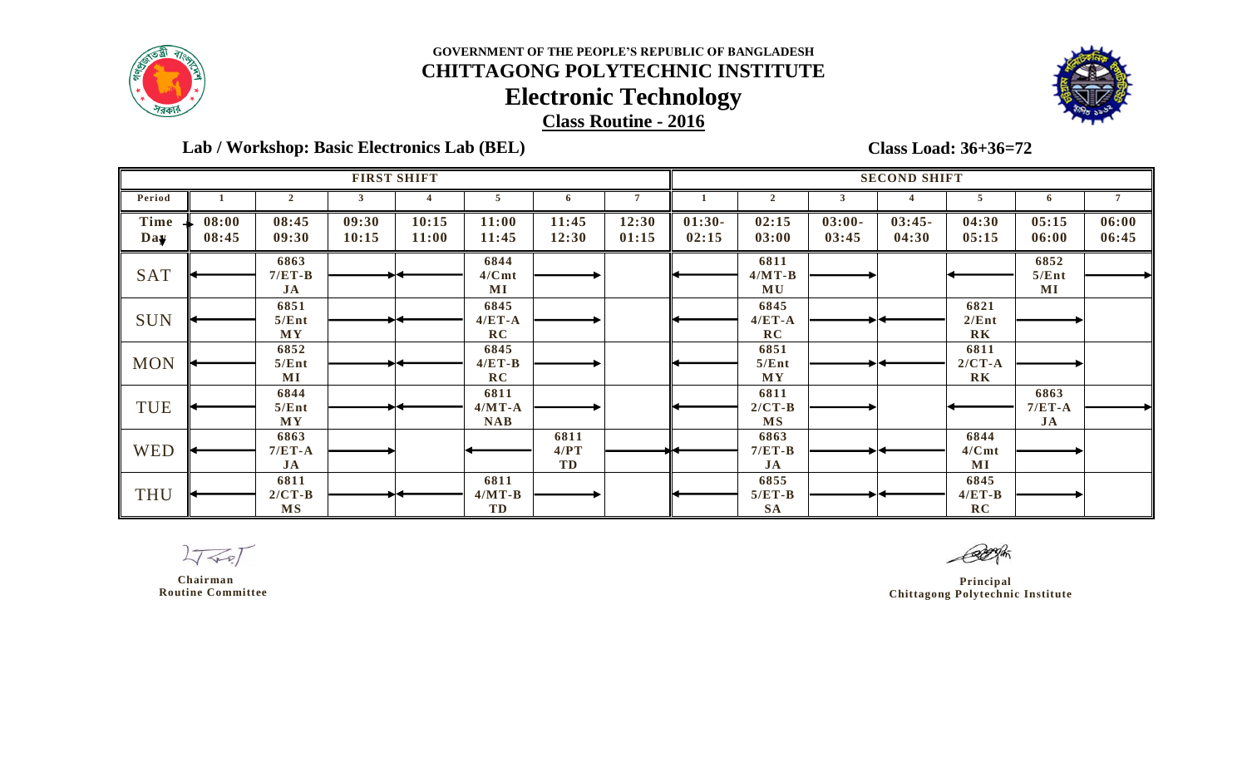



 **Lab / Workshop: Basic Electronics Lab (BEL)** 

**Class Load: 36+36=72**

|             |                |                               |                | <b>FIRST SHIFT</b>    |                                |                    |                | <b>SECOND SHIFT</b> |                               |                   |                   |                                    |                        |                |  |  |
|-------------|----------------|-------------------------------|----------------|-----------------------|--------------------------------|--------------------|----------------|---------------------|-------------------------------|-------------------|-------------------|------------------------------------|------------------------|----------------|--|--|
| Period      |                | $\overline{2}$                | 3              |                       | 5                              | -6                 |                |                     | 2                             | 3                 |                   | 5                                  | 6                      |                |  |  |
| Time<br>Day | 08:00<br>08:45 | 08:45<br>09:30                | 09:30<br>10:15 | 10:15<br><b>11:00</b> | 11:00<br>11:45                 | 11:45<br>12:30     | 12:30<br>01:15 | $01:30-$<br>02:15   | 02:15<br>03:00                | $03:00-$<br>03:45 | $03:45-$<br>04:30 | 04:30<br>05:15                     | 05:15<br>06:00         | 06:00<br>06:45 |  |  |
| <b>SAT</b>  |                | 6863<br>$7/ET-B$<br>JA        |                |                       | 6844<br>4/Cmt<br>MI            |                    |                |                     | 6811<br>$4/MT-B$<br>MU        |                   |                   |                                    | 6852<br>5/Ent<br>MI    |                |  |  |
| <b>SUN</b>  |                | 6851<br>5/Ent<br>MY           |                |                       | 6845<br>$4/ET-A$<br>RC         |                    |                |                     | 6845<br>$4/ET-A$<br>RC        |                   |                   | 6821<br>2/Ent<br>R <sub>K</sub>    |                        |                |  |  |
| <b>MON</b>  |                | 6852<br>5/Ent<br>$\bf MI$     |                |                       | 6845<br>$4/ET-B$<br>RC         |                    |                |                     | 6851<br>5/Ent<br><b>MY</b>    |                   |                   | 6811<br>$2/CT-A$<br>R <sub>K</sub> |                        |                |  |  |
| TUE         |                | 6844<br>5/Ent<br><b>MY</b>    |                |                       | 6811<br>$4/MT-A$<br><b>NAB</b> |                    |                |                     | 6811<br>$2/CT-B$<br><b>MS</b> |                   |                   |                                    | 6863<br>$7/ET-A$<br>JA |                |  |  |
| <b>WED</b>  |                | 6863<br>$7/ET-A$<br>JA        |                |                       |                                | 6811<br>4/PT<br>TD |                |                     | 6863<br>$7/ET-B$<br>JA        |                   |                   | 6844<br>4/Cmt<br>MI                |                        |                |  |  |
| <b>THU</b>  |                | 6811<br>$2/CT-B$<br><b>MS</b> |                |                       | 6811<br>$4/MT-B$<br>TD         |                    |                |                     | 6855<br>$5/ET-B$<br><b>SA</b> |                   |                   | 6845<br>$4/ET-B$<br>RC             |                        |                |  |  |

 $2777$ 

 **Chairman Routine Committee**

 **Principal Chittagong Polytechnic Institute**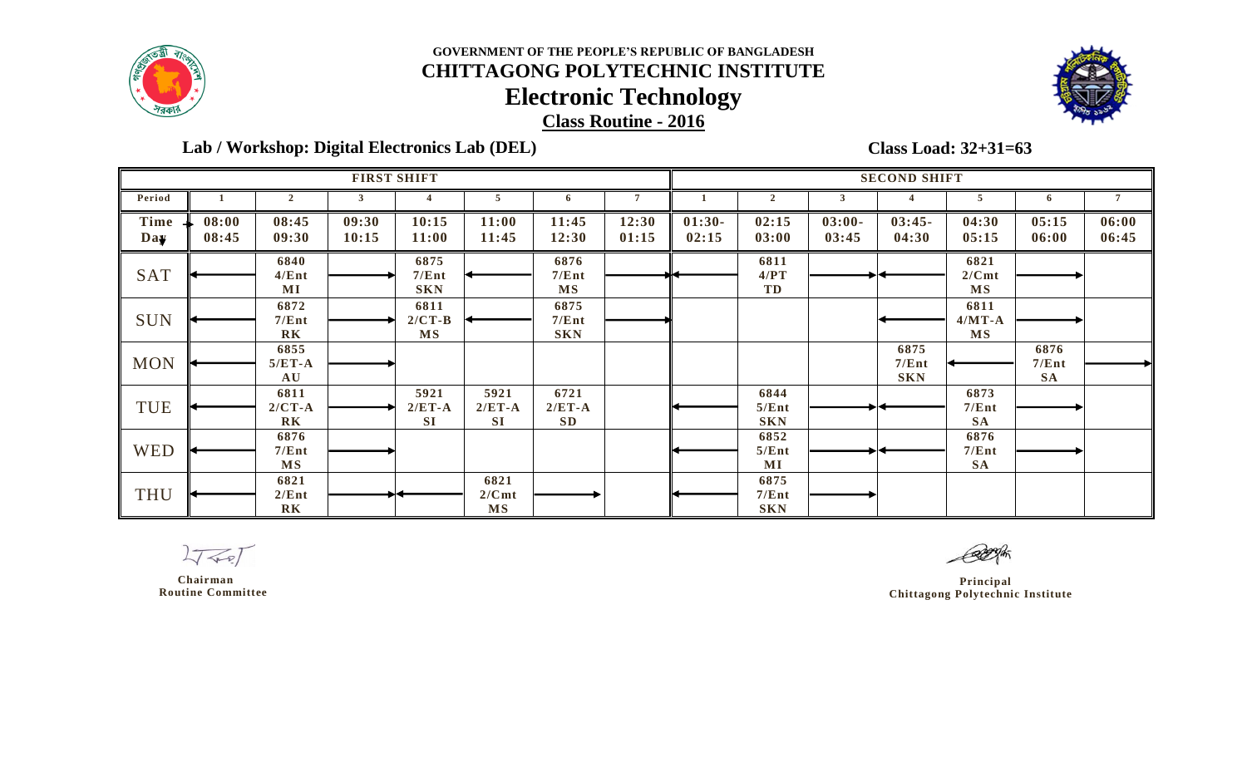



 **Lab / Workshop: Digital Electronics Lab (DEL)** 

**Class Load: 32+31=63**

|             |                |                                      |                | <b>FIRST SHIFT</b>            |                               |                               |                | <b>SECOND SHIFT</b> |                             |                   |                             |                               |                            |                |  |
|-------------|----------------|--------------------------------------|----------------|-------------------------------|-------------------------------|-------------------------------|----------------|---------------------|-----------------------------|-------------------|-----------------------------|-------------------------------|----------------------------|----------------|--|
| Period      |                | $\overline{2}$                       |                |                               | 5                             | -6                            | $\mathbf{7}$   |                     |                             | 3                 |                             | 5                             | $\bullet$                  |                |  |
| Time<br>Day | 08:00<br>08:45 | 08:45<br>09:30                       | 09:30<br>10:15 | 10:15<br>11:00                | 11:00<br>11:45                | 11:45<br>12:30                | 12:30<br>01:15 | $01:30-$<br>02:15   | 02:15<br>03:00              | $03:00-$<br>03:45 | $03:45-$<br>04:30           | 04:30<br>05:15                | 05:15<br>06:00             | 06:00<br>06:45 |  |
| <b>SAT</b>  |                | 6840<br>4/Ent<br>$\bf MI$            |                | 6875<br>7/Ent<br><b>SKN</b>   |                               | 6876<br>7/Ent<br><b>MS</b>    |                |                     | 6811<br>4/PT<br>TD          |                   |                             | 6821<br>2/Cmt<br><b>MS</b>    |                            |                |  |
| <b>SUN</b>  |                | 6872<br>7/Ent<br>R <sub>K</sub>      |                | 6811<br>$2/CT-B$<br><b>MS</b> |                               | 6875<br>7/Ent<br><b>SKN</b>   |                |                     |                             |                   |                             | 6811<br>$4/MT-A$<br><b>MS</b> |                            |                |  |
| <b>MON</b>  |                | 6855<br>$5/ET-A$<br>AU               |                |                               |                               |                               |                |                     |                             |                   | 6875<br>7/Ent<br><b>SKN</b> |                               | 6876<br>7/Ent<br><b>SA</b> |                |  |
| TUE         |                | 6811<br>$2/CT - A$<br>R <sub>K</sub> |                | 5921<br>$2/ET-A$<br><b>SI</b> | 5921<br>$2/ET-A$<br><b>SI</b> | 6721<br>$2/ET-A$<br><b>SD</b> |                |                     | 6844<br>5/Ent<br><b>SKN</b> |                   |                             | 6873<br>7/Ent<br><b>SA</b>    |                            |                |  |
| <b>WED</b>  |                | 6876<br>7/Ent<br><b>MS</b>           |                |                               |                               |                               |                |                     | 6852<br>5/Ent<br>$\bf MI$   |                   |                             | 6876<br>7/Ent<br><b>SA</b>    |                            |                |  |
| <b>THU</b>  |                | 6821<br>2/Ent<br>R <sub>K</sub>      |                |                               | 6821<br>2/Cmt<br><b>MS</b>    |                               |                |                     | 6875<br>7/Ent<br><b>SKN</b> |                   |                             |                               |                            |                |  |

 $2777$ 

 **Chairman Routine Committee**

 **Principal Chittagong Polytechnic Institute**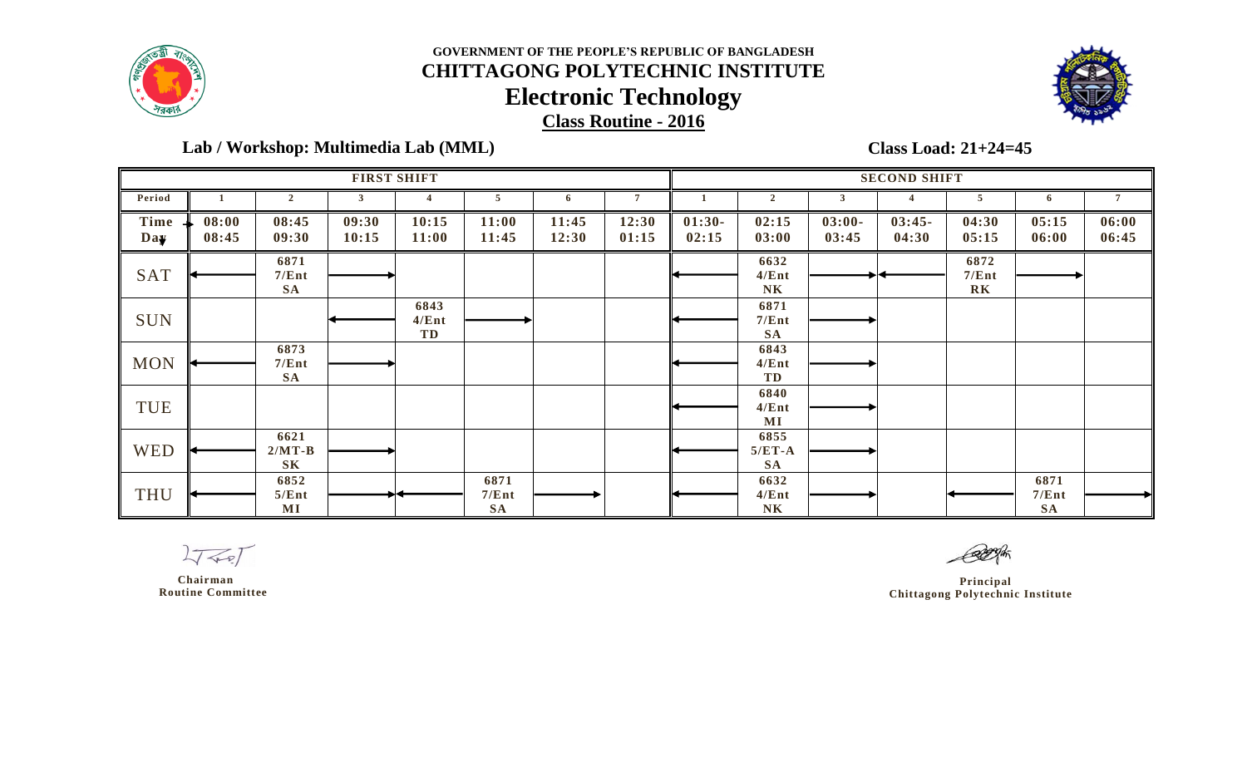



 **Lab / Workshop: Multimedia Lab (MML)** 

**Class Load: 21+24=45**

|             |                |                                    | <b>FIRST SHIFT</b> |                     |                            |                |                | <b>SECOND SHIFT</b> |                                 |                   |                   |                                 |                            |                |  |
|-------------|----------------|------------------------------------|--------------------|---------------------|----------------------------|----------------|----------------|---------------------|---------------------------------|-------------------|-------------------|---------------------------------|----------------------------|----------------|--|
| Period      |                | $\overline{2}$                     | 3                  |                     | 5                          | 6              | $\overline{7}$ |                     | $\overline{2}$                  | 3                 |                   | 5                               | 6                          |                |  |
| Time<br>Day | 08:00<br>08:45 | 08:45<br>09:30                     | 09:30<br>10:15     | 10:15<br>11:00      | 11:00<br>11:45             | 11:45<br>12:30 | 12:30<br>01:15 | $01:30-$<br>02:15   | 02:15<br>03:00                  | $03:00-$<br>03:45 | $03:45-$<br>04:30 | 04:30<br>05:15                  | 05:15<br>06:00             | 06:00<br>06:45 |  |
| <b>SAT</b>  |                | 6871<br>7/Ent<br><b>SA</b>         |                    |                     |                            |                |                |                     | 6632<br>4/Ent<br>N <sub>K</sub> |                   |                   | 6872<br>7/Ent<br>R <sub>K</sub> |                            |                |  |
| <b>SUN</b>  |                |                                    |                    | 6843<br>4/Ent<br>TD |                            |                |                |                     | 6871<br>7/Ent<br><b>SA</b>      |                   |                   |                                 |                            |                |  |
| <b>MON</b>  |                | 6873<br>7/Ent<br><b>SA</b>         |                    |                     |                            |                |                |                     | 6843<br>4/Ent<br>TD             |                   |                   |                                 |                            |                |  |
| <b>TUE</b>  |                |                                    |                    |                     |                            |                |                |                     | 6840<br>4/Ent<br>$\bf MI$       |                   |                   |                                 |                            |                |  |
| <b>WED</b>  |                | 6621<br>$2/MT-B$<br>S <sub>K</sub> |                    |                     |                            |                |                |                     | 6855<br>$5/ET-A$<br><b>SA</b>   |                   |                   |                                 |                            |                |  |
| <b>THU</b>  |                | 6852<br>5/Ent<br>$\bf MI$          |                    |                     | 6871<br>7/Ent<br><b>SA</b> |                |                |                     | 6632<br>4/Ent<br>N <sub>K</sub> |                   |                   |                                 | 6871<br>7/Ent<br><b>SA</b> |                |  |

 $2777$ 

 **Chairman Routine Committee**

 **Principal Chittagong Polytechnic Institute**